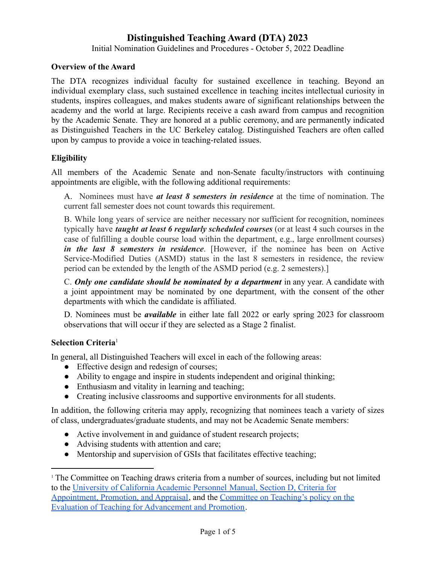### **Distinguished Teaching Award (DTA) 2023**

Initial Nomination Guidelines and Procedures - October 5, 2022 Deadline

#### **Overview of the Award**

The DTA recognizes individual faculty for sustained excellence in teaching. Beyond an individual exemplary class, such sustained excellence in teaching incites intellectual curiosity in students, inspires colleagues, and makes students aware of significant relationships between the academy and the world at large. Recipients receive a cash award from campus and recognition by the Academic Senate. They are honored at a public ceremony, and are permanently indicated as Distinguished Teachers in the UC Berkeley catalog. Distinguished Teachers are often called upon by campus to provide a voice in teaching-related issues.

### **Eligibility**

All members of the Academic Senate and non-Senate faculty/instructors with continuing appointments are eligible, with the following additional requirements:

A. Nominees must have *at least 8 semesters in residence* at the time of nomination. The current fall semester does not count towards this requirement.

B. While long years of service are neither necessary nor sufficient for recognition, nominees typically have *taught at least 6 regularly scheduled courses* (or at least 4 such courses in the case of fulfilling a double course load within the department, e.g., large enrollment courses) *in the last 8 semesters in residence*. [However, if the nominee has been on Active Service-Modified Duties (ASMD) status in the last 8 semesters in residence, the review period can be extended by the length of the ASMD period (e.g. 2 semesters).]

C. *Only one candidate should be nominated by a department* in any year. A candidate with a joint appointment may be nominated by one department, with the consent of the other departments with which the candidate is affiliated.

D. Nominees must be *available* in either late fall 2022 or early spring 2023 for classroom observations that will occur if they are selected as a Stage 2 finalist.

#### **Selection Criteria**<sup>1</sup>

In general, all Distinguished Teachers will excel in each of the following areas:

- Effective design and redesign of courses;
- Ability to engage and inspire in students independent and original thinking;
- Enthusiasm and vitality in learning and teaching;
- Creating inclusive classrooms and supportive environments for all students.

In addition, the following criteria may apply, recognizing that nominees teach a variety of sizes of class, undergraduates/graduate students, and may not be Academic Senate members:

- Active involvement in and guidance of student research projects;
- Advising students with attention and care;
- Mentorship and supervision of GSIs that facilitates effective teaching;

<sup>&</sup>lt;sup>1</sup> The Committee on Teaching draws criteria from a number of sources, including but not limited to the [University of California Academic Personnel](https://senate.universityofcalifornia.edu/_files/committees/ucaade/apm210.pdf) Manual, Section D, Criteria for [Appointment, Promotion, and Appraisal,](https://senate.universityofcalifornia.edu/_files/committees/ucaade/apm210.pdf) and the Committee [on Teaching's policy on the](https://teaching.berkeley.edu/resources/improve/documenting-and-improving-teaching-effectiveness/campus-and-office-president) [Evaluation of Teaching for Advancement and Promotion](https://teaching.berkeley.edu/resources/improve/documenting-and-improving-teaching-effectiveness/campus-and-office-president).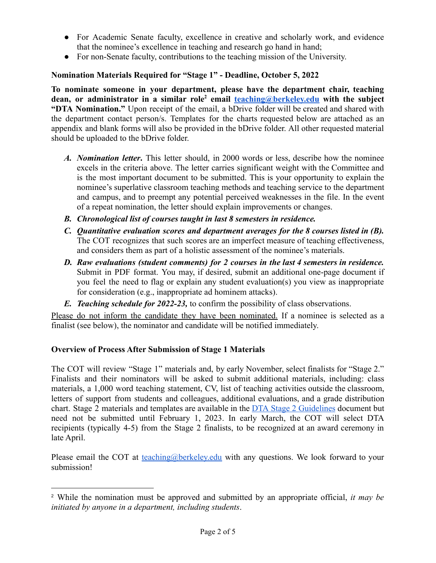- For Academic Senate faculty, excellence in creative and scholarly work, and evidence that the nominee's excellence in teaching and research go hand in hand;
- For non-Senate faculty, contributions to the teaching mission of the University.

### **Nomination Materials Required for "Stage 1" - Deadline, October 5, 2022**

**To nominate someone in your department, please have the department chair, teaching dean, or administrator in a similar role<sup>2</sup> email [teaching@berkeley.edu](mailto:teaching@berkeley.edu) with the subject "DTA Nomination."** Upon receipt of the email, a bDrive folder will be created and shared with the department contact person/s. Templates for the charts requested below are attached as an appendix and blank forms will also be provided in the bDrive folder. All other requested material should be uploaded to the bDrive folder.

- *A. Nomination letter***.** This letter should, in 2000 words or less, describe how the nominee excels in the criteria above. The letter carries significant weight with the Committee and is the most important document to be submitted. This is your opportunity to explain the nominee's superlative classroom teaching methods and teaching service to the department and campus, and to preempt any potential perceived weaknesses in the file. In the event of a repeat nomination, the letter should explain improvements or changes.
- *B. Chronological list of courses taught in last 8 semesters in residence.*
- *C. Quantitative evaluation scores and department averages for the 8 courses listed in (B).* The COT recognizes that such scores are an imperfect measure of teaching effectiveness, and considers them as part of a holistic assessment of the nominee's materials.
- *D. Raw evaluations (student comments) for 2 courses in the last 4 semesters in residence.* Submit in PDF format. You may, if desired, submit an additional one-page document if you feel the need to flag or explain any student evaluation(s) you view as inappropriate for consideration (e.g., inappropriate ad hominem attacks).
- *E. Teaching schedule for 2022-23,* to confirm the possibility of class observations.

Please do not inform the candidate they have been nominated. If a nominee is selected as a finalist (see below), the nominator and candidate will be notified immediately.

### **Overview of Process After Submission of Stage 1 Materials**

The COT will review "Stage 1" materials and, by early November, select finalists for "Stage 2." Finalists and their nominators will be asked to submit additional materials, including: class materials, a 1,000 word teaching statement, CV, list of teaching activities outside the classroom, letters of support from students and colleagues, additional evaluations, and a grade distribution chart. Stage 2 materials and templates are available in the DTA Stage 2 [Guidelines](https://docs.google.com/document/d/1Z_ctFDQScBSuM-lRK4N5LXAC8t_a2FPrJ799MnKEgCE/edit) document but need not be submitted until February 1, 2023. In early March, the COT will select DTA recipients (typically 4-5) from the Stage 2 finalists, to be recognized at an award ceremony in late April.

Please email the COT at [teaching@berkeley.edu](mailto:teaching@berkeley.edu) with any questions. We look forward to your submission!

<sup>2</sup> While the nomination must be approved and submitted by an appropriate official, *it may be initiated by anyone in a department, including students*.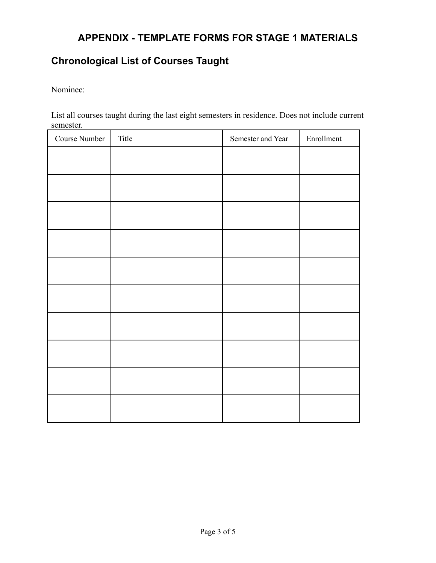# **APPENDIX - TEMPLATE FORMS FOR STAGE 1 MATERIALS**

# **Chronological List of Courses Taught**

Nominee:

List all courses taught during the last eight semesters in residence. Does not include current semester.

| Course Number | Title | Semester and Year | Enrollment |
|---------------|-------|-------------------|------------|
|               |       |                   |            |
|               |       |                   |            |
|               |       |                   |            |
|               |       |                   |            |
|               |       |                   |            |
|               |       |                   |            |
|               |       |                   |            |
|               |       |                   |            |
|               |       |                   |            |
|               |       |                   |            |
|               |       |                   |            |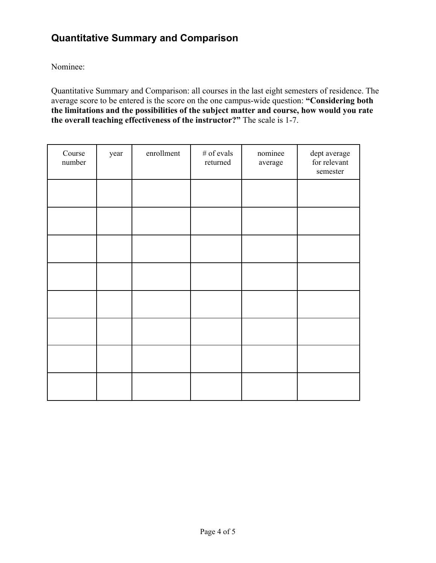## **Quantitative Summary and Comparison**

Nominee:

Quantitative Summary and Comparison: all courses in the last eight semesters of residence. The average score to be entered is the score on the one campus-wide question: **"Considering both the limitations and the possibilities of the subject matter and course, how would you rate the overall teaching effectiveness of the instructor?"** The scale is 1-7.

| Course<br>number | year | enrollment | $\#$ of evals<br>returned | nominee<br>average | dept average<br>for relevant<br>semester |
|------------------|------|------------|---------------------------|--------------------|------------------------------------------|
|                  |      |            |                           |                    |                                          |
|                  |      |            |                           |                    |                                          |
|                  |      |            |                           |                    |                                          |
|                  |      |            |                           |                    |                                          |
|                  |      |            |                           |                    |                                          |
|                  |      |            |                           |                    |                                          |
|                  |      |            |                           |                    |                                          |
|                  |      |            |                           |                    |                                          |